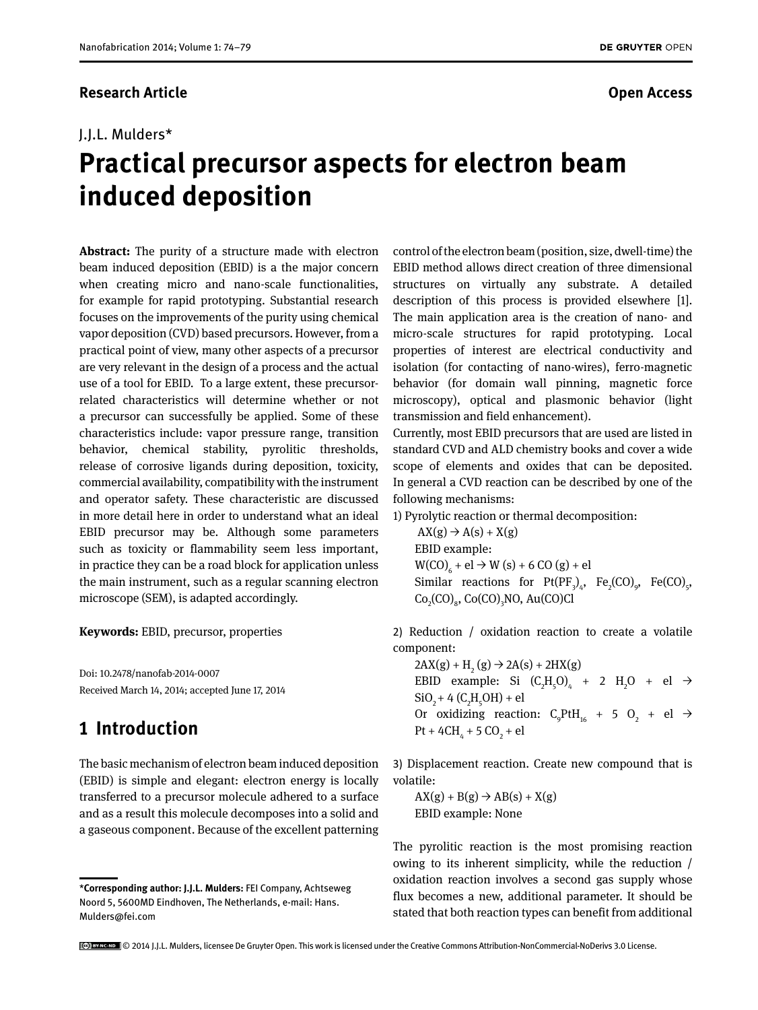#### **Research Article Open Access**

#### J.J.L. Mulders\*

# **Practical precursor aspects for electron beam induced deposition**

**Abstract:** The purity of a structure made with electron beam induced deposition (EBID) is a the major concern when creating micro and nano-scale functionalities, for example for rapid prototyping. Substantial research focuses on the improvements of the purity using chemical vapor deposition (CVD) based precursors. However, from a practical point of view, many other aspects of a precursor are very relevant in the design of a process and the actual use of a tool for EBID. To a large extent, these precursorrelated characteristics will determine whether or not a precursor can successfully be applied. Some of these characteristics include: vapor pressure range, transition behavior, chemical stability, pyrolitic thresholds, release of corrosive ligands during deposition, toxicity, commercial availability, compatibility with the instrument and operator safety. These characteristic are discussed in more detail here in order to understand what an ideal EBID precursor may be. Although some parameters such as toxicity or flammability seem less important, in practice they can be a road block for application unless the main instrument, such as a regular scanning electron microscope (SEM), is adapted accordingly.

**Keywords:** EBID, precursor, properties

Doi: 10.2478/nanofab-2014-0007 Received March 14, 2014; accepted June 17, 2014

# **1 Introduction**

The basic mechanism of electron beam induced deposition (EBID) is simple and elegant: electron energy is locally transferred to a precursor molecule adhered to a surface and as a result this molecule decomposes into a solid and a gaseous component. Because of the excellent patterning control of the electron beam (position, size, dwell-time) the EBID method allows direct creation of three dimensional structures on virtually any substrate. A detailed description of this process is provided elsewhere [1]. The main application area is the creation of nano- and micro-scale structures for rapid prototyping. Local properties of interest are electrical conductivity and isolation (for contacting of nano-wires), ferro-magnetic behavior (for domain wall pinning, magnetic force microscopy), optical and plasmonic behavior (light transmission and field enhancement).

Currently, most EBID precursors that are used are listed in standard CVD and ALD chemistry books and cover a wide scope of elements and oxides that can be deposited. In general a CVD reaction can be described by one of the following mechanisms:

1) Pyrolytic reaction or thermal decomposition:

 $AX(g) \rightarrow A(s) + X(g)$ EBID example:  $W(CO)_{6}$  + el  $\rightarrow$  W (s) + 6 CO (g) + el Similar reactions for  $Pt(PF_3)_4$ ,  $Fe_2(CO)_9$ ,  $Fe(CO)_5$ ,  $\mathrm{Co}_2(\mathrm{CO})_3$ ,  $\mathrm{Co}(\mathrm{CO})_3$ NO, Au $(\mathrm{CO})$ Cl

2) Reduction / oxidation reaction to create a volatile component:

 $2AX(g) + H_2(g) \rightarrow 2A(s) + 2HX(g)$ EBID example: Si  $(C_2H_5O)_4$  + 2  $H_2O$  + el  $\rightarrow$  $SiO_2 + 4(C_2H_5OH) + el$ Or oxidizing reaction:  $C_9$ PtH<sub>16</sub> + 5 O<sub>2</sub> + el  $\rightarrow$  $Pt + 4CH_4 + 5 CO_2 + el$ 

3) Displacement reaction. Create new compound that is volatile:

 $AX(g) + B(g) \rightarrow AB(s) + X(g)$ EBID example: None

The pyrolitic reaction is the most promising reaction owing to its inherent simplicity, while the reduction / oxidation reaction involves a second gas supply whose flux becomes a new, additional parameter. It should be stated that both reaction types can benefit from additional

<sup>\*</sup>**Corresponding author: J.J.L. Mulders:** FEI Company, Achtseweg Noord 5, 5600MD Eindhoven, The Netherlands, e-mail: Hans. Mulders@fei.com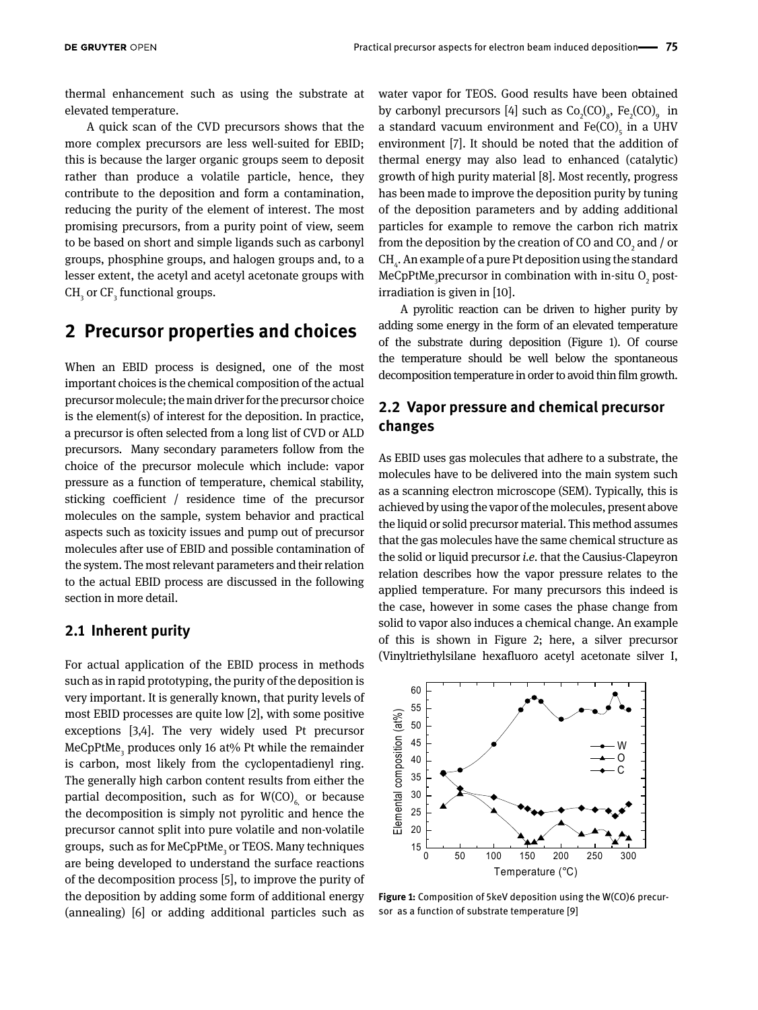thermal enhancement such as using the substrate at elevated temperature.

A quick scan of the CVD precursors shows that the more complex precursors are less well-suited for EBID; this is because the larger organic groups seem to deposit rather than produce a volatile particle, hence, they contribute to the deposition and form a contamination, reducing the purity of the element of interest. The most promising precursors, from a purity point of view, seem to be based on short and simple ligands such as carbonyl groups, phosphine groups, and halogen groups and, to a lesser extent, the acetyl and acetyl acetonate groups with  $CH<sub>3</sub>$  or  $CF<sub>3</sub>$  functional groups.

## **2 Precursor properties and choices**

When an EBID process is designed, one of the most important choices is the chemical composition of the actual precursor molecule; the main driver for the precursor choice is the element(s) of interest for the deposition. In practice, a precursor is often selected from a long list of CVD or ALD precursors. Many secondary parameters follow from the choice of the precursor molecule which include: vapor pressure as a function of temperature, chemical stability, sticking coefficient / residence time of the precursor molecules on the sample, system behavior and practical aspects such as toxicity issues and pump out of precursor molecules after use of EBID and possible contamination of the system. The most relevant parameters and their relation to the actual EBID process are discussed in the following section in more detail.

#### **2.1 Inherent purity**

For actual application of the EBID process in methods such as in rapid prototyping, the purity of the deposition is very important. It is generally known, that purity levels of most EBID processes are quite low [2], with some positive exceptions [3,4]. The very widely used Pt precursor MeCpPtMe $_{_3}$  produces only 16 at% Pt while the remainder is carbon, most likely from the cyclopentadienyl ring. The generally high carbon content results from either the partial decomposition, such as for  $W(CO)_{c}$  or because the decomposition is simply not pyrolitic and hence the precursor cannot split into pure volatile and non-volatile groups, such as for MeCpPtMe<sub>3</sub> or TEOS. Many techniques are being developed to understand the surface reactions of the decomposition process [5], to improve the purity of the deposition by adding some form of additional energy (annealing) [6] or adding additional particles such as

water vapor for TEOS. Good results have been obtained by carbonyl precursors [4] such as  $\text{Co}_2(\text{CO})_{\text{s}}$ , Fe<sub>2</sub> $(\text{CO})_{\text{9}}$  in a standard vacuum environment and  $\text{Fe(CO)}_{5}$  in a UHV environment [7]. It should be noted that the addition of thermal energy may also lead to enhanced (catalytic) growth of high purity material [8]. Most recently, progress has been made to improve the deposition purity by tuning of the deposition parameters and by adding additional particles for example to remove the carbon rich matrix from the deposition by the creation of CO and CO<sub>2</sub> and / or  $\mathrm{CH}_{_4^\star}$ . An example of a pure Pt deposition using the standard MeCpPtMe $_{\textrm{\tiny{3}}}$ precursor in combination with in-situ  $\mathrm{O}_{\textrm{\tiny{2}}}$  postirradiation is given in [10].

A pyrolitic reaction can be driven to higher purity by adding some energy in the form of an elevated temperature of the substrate during deposition (Figure 1). Of course the temperature should be well below the spontaneous decomposition temperature in order to avoid thin film growth.

### **2.2 Vapor pressure and chemical precursor changes**

As EBID uses gas molecules that adhere to a substrate, the molecules have to be delivered into the main system such as a scanning electron microscope (SEM). Typically, this is achieved by using the vapor of the molecules, present above the liquid or solid precursor material. This method assumes that the gas molecules have the same chemical structure as the solid or liquid precursor *i.e.* that the Causius-Clapeyron relation describes how the vapor pressure relates to the applied temperature. For many precursors this indeed is the case, however in some cases the phase change from solid to vapor also induces a chemical change. An example of this is shown in Figure 2; here, a silver precursor (Vinyltriethylsilane hexafluoro acetyl acetonate silver I,



**Figure 1:** Composition of 5keV deposition using the W(CO)6 precursor as a function of substrate temperature [9]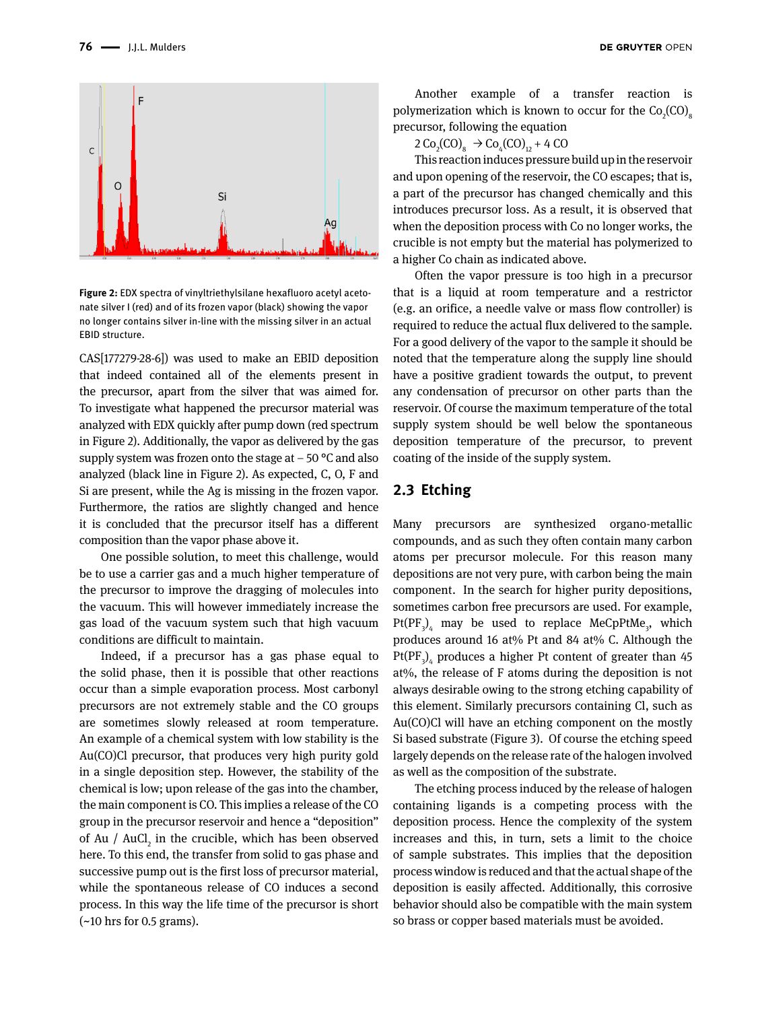

**Figure 2:** EDX spectra of vinyltriethylsilane hexafluoro acetyl acetonate silver I (red) and of its frozen vapor (black) showing the vapor no longer contains silver in-line with the missing silver in an actual EBID structure.

CAS[177279-28-6]) was used to make an EBID deposition that indeed contained all of the elements present in the precursor, apart from the silver that was aimed for. To investigate what happened the precursor material was analyzed with EDX quickly after pump down (red spectrum in Figure 2). Additionally, the vapor as delivered by the gas supply system was frozen onto the stage at  $-50$  °C and also analyzed (black line in Figure 2). As expected, C, O, F and Si are present, while the Ag is missing in the frozen vapor. Furthermore, the ratios are slightly changed and hence it is concluded that the precursor itself has a different composition than the vapor phase above it.

One possible solution, to meet this challenge, would be to use a carrier gas and a much higher temperature of the precursor to improve the dragging of molecules into the vacuum. This will however immediately increase the gas load of the vacuum system such that high vacuum conditions are difficult to maintain.

Indeed, if a precursor has a gas phase equal to the solid phase, then it is possible that other reactions occur than a simple evaporation process. Most carbonyl precursors are not extremely stable and the CO groups are sometimes slowly released at room temperature. An example of a chemical system with low stability is the Au(CO)Cl precursor, that produces very high purity gold in a single deposition step. However, the stability of the chemical is low; upon release of the gas into the chamber, the main component is CO. This implies a release of the CO group in the precursor reservoir and hence a "deposition" of Au /  $AuCl<sub>2</sub>$  in the crucible, which has been observed here. To this end, the transfer from solid to gas phase and successive pump out is the first loss of precursor material, while the spontaneous release of CO induces a second process. In this way the life time of the precursor is short (~10 hrs for 0.5 grams).

Another example of a transfer reaction is polymerization which is known to occur for the  $\mathrm{Co}_\mathrm{2}(\mathrm{CO})_\mathrm{g}$ precursor, following the equation

 $2 \text{ Co}_2(\text{CO})_8 \rightarrow \text{Co}_4(\text{CO})_{12} + 4 \text{ CO}$ 

This reaction induces pressure build up in the reservoir and upon opening of the reservoir, the CO escapes; that is, a part of the precursor has changed chemically and this introduces precursor loss. As a result, it is observed that when the deposition process with Co no longer works, the crucible is not empty but the material has polymerized to a higher Co chain as indicated above.

Often the vapor pressure is too high in a precursor that is a liquid at room temperature and a restrictor (e.g. an orifice, a needle valve or mass flow controller) is required to reduce the actual flux delivered to the sample. For a good delivery of the vapor to the sample it should be noted that the temperature along the supply line should have a positive gradient towards the output, to prevent any condensation of precursor on other parts than the reservoir. Of course the maximum temperature of the total supply system should be well below the spontaneous deposition temperature of the precursor, to prevent coating of the inside of the supply system.

#### **2.3 Etching**

Many precursors are synthesized organo-metallic compounds, and as such they often contain many carbon atoms per precursor molecule. For this reason many depositions are not very pure, with carbon being the main component. In the search for higher purity depositions, sometimes carbon free precursors are used. For example,  $Pt(PF_3)_4$  may be used to replace MeCpPtMe<sub>3</sub>, which produces around 16 at% Pt and 84 at% C. Although the  $Pt(PF_3)_4$  produces a higher Pt content of greater than 45 at%, the release of F atoms during the deposition is not always desirable owing to the strong etching capability of this element. Similarly precursors containing Cl, such as Au(CO)Cl will have an etching component on the mostly Si based substrate (Figure 3). Of course the etching speed largely depends on the release rate of the halogen involved as well as the composition of the substrate.

The etching process induced by the release of halogen containing ligands is a competing process with the deposition process. Hence the complexity of the system increases and this, in turn, sets a limit to the choice of sample substrates. This implies that the deposition process window is reduced and that the actual shape of the deposition is easily affected. Additionally, this corrosive behavior should also be compatible with the main system so brass or copper based materials must be avoided.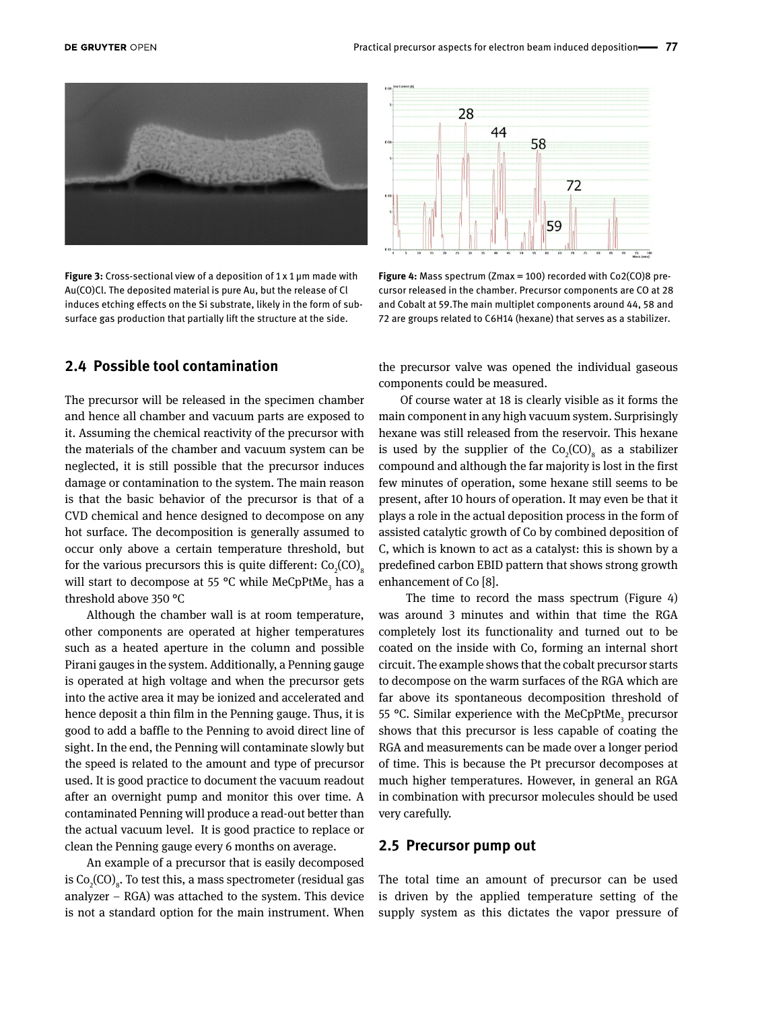

**Figure 3:** Cross-sectional view of a deposition of 1 x 1 µm made with Au(CO)Cl. The deposited material is pure Au, but the release of Cl induces etching effects on the Si substrate, likely in the form of subsurface gas production that partially lift the structure at the side.

### **2.4 Possible tool contamination**

The precursor will be released in the specimen chamber and hence all chamber and vacuum parts are exposed to it. Assuming the chemical reactivity of the precursor with the materials of the chamber and vacuum system can be neglected, it is still possible that the precursor induces damage or contamination to the system. The main reason is that the basic behavior of the precursor is that of a CVD chemical and hence designed to decompose on any hot surface. The decomposition is generally assumed to occur only above a certain temperature threshold, but for the various precursors this is quite different:  $\mathrm{Co_{2}(CO)_{8}}$ will start to decompose at 55 °C while MeCpPtMe<sub>3</sub> has a threshold above 350 °C

Although the chamber wall is at room temperature, other components are operated at higher temperatures such as a heated aperture in the column and possible Pirani gauges in the system. Additionally, a Penning gauge is operated at high voltage and when the precursor gets into the active area it may be ionized and accelerated and hence deposit a thin film in the Penning gauge. Thus, it is good to add a baffle to the Penning to avoid direct line of sight. In the end, the Penning will contaminate slowly but the speed is related to the amount and type of precursor used. It is good practice to document the vacuum readout after an overnight pump and monitor this over time. A contaminated Penning will produce a read-out better than the actual vacuum level. It is good practice to replace or clean the Penning gauge every 6 months on average.

An example of a precursor that is easily decomposed is Co<sub>2</sub>(CO)<sub>8</sub>. To test this, a mass spectrometer (residual gas analyzer – RGA) was attached to the system. This device is not a standard option for the main instrument. When



**Figure 4:** Mass spectrum (Zmax = 100) recorded with Co2(CO)8 precursor released in the chamber. Precursor components are CO at 28 and Cobalt at 59.The main multiplet components around 44, 58 and 72 are groups related to C6H14 (hexane) that serves as a stabilizer.

the precursor valve was opened the individual gaseous components could be measured.

Of course water at 18 is clearly visible as it forms the main component in any high vacuum system. Surprisingly hexane was still released from the reservoir. This hexane is used by the supplier of the  $\mathrm{Co_2(CO)}_8$  as a stabilizer compound and although the far majority is lost in the first few minutes of operation, some hexane still seems to be present, after 10 hours of operation. It may even be that it plays a role in the actual deposition process in the form of assisted catalytic growth of Co by combined deposition of C, which is known to act as a catalyst: this is shown by a predefined carbon EBID pattern that shows strong growth enhancement of Co [8].

 The time to record the mass spectrum (Figure 4) was around 3 minutes and within that time the RGA completely lost its functionality and turned out to be coated on the inside with Co, forming an internal short circuit. The example shows that the cobalt precursor starts to decompose on the warm surfaces of the RGA which are far above its spontaneous decomposition threshold of 55 °C. Similar experience with the MeCpPtMe<sub>3</sub> precursor shows that this precursor is less capable of coating the RGA and measurements can be made over a longer period of time. This is because the Pt precursor decomposes at much higher temperatures. However, in general an RGA in combination with precursor molecules should be used very carefully.

#### **2.5 Precursor pump out**

The total time an amount of precursor can be used is driven by the applied temperature setting of the supply system as this dictates the vapor pressure of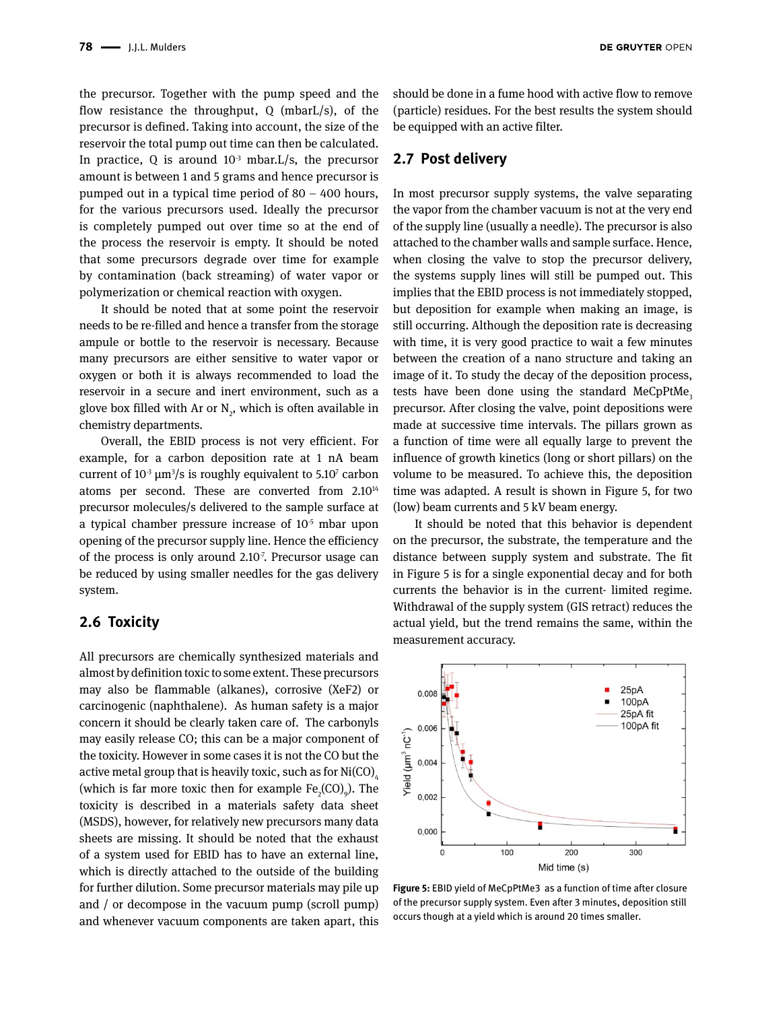the precursor. Together with the pump speed and the flow resistance the throughput,  $Q$  (mbarL/s), of the precursor is defined. Taking into account, the size of the reservoir the total pump out time can then be calculated. In practice, Q is around  $10<sup>3</sup>$  mbar. L/s, the precursor amount is between 1 and 5 grams and hence precursor is pumped out in a typical time period of 80 – 400 hours, for the various precursors used. Ideally the precursor is completely pumped out over time so at the end of the process the reservoir is empty. It should be noted that some precursors degrade over time for example by contamination (back streaming) of water vapor or polymerization or chemical reaction with oxygen.

It should be noted that at some point the reservoir needs to be re-filled and hence a transfer from the storage ampule or bottle to the reservoir is necessary. Because many precursors are either sensitive to water vapor or oxygen or both it is always recommended to load the reservoir in a secure and inert environment, such as a glove box filled with Ar or  $\text{N}_{2}$ , which is often available in chemistry departments.

Overall, the EBID process is not very efficient. For example, for a carbon deposition rate at 1 nA beam current of 10<sup>3</sup>  $\mu$ m<sup>3</sup>/s is roughly equivalent to 5.10<sup>7</sup> carbon atoms per second. These are converted from 2.10<sup>14</sup> precursor molecules/s delivered to the sample surface at a typical chamber pressure increase of  $10<sup>5</sup>$  mbar upon opening of the precursor supply line. Hence the efficiency of the process is only around  $2.10<sup>7</sup>$ . Precursor usage can be reduced by using smaller needles for the gas delivery system.

#### **2.6 Toxicity**

All precursors are chemically synthesized materials and almost by definition toxic to some extent. These precursors may also be flammable (alkanes), corrosive (XeF2) or carcinogenic (naphthalene). As human safety is a major concern it should be clearly taken care of. The carbonyls may easily release CO; this can be a major component of the toxicity. However in some cases it is not the CO but the active metal group that is heavily toxic, such as for  $Ni(CO)_{\alpha}$ (which is far more toxic then for example  $\text{Fe}_2(\text{CO})_9$ ). The toxicity is described in a materials safety data sheet (MSDS), however, for relatively new precursors many data sheets are missing. It should be noted that the exhaust of a system used for EBID has to have an external line, which is directly attached to the outside of the building for further dilution. Some precursor materials may pile up and / or decompose in the vacuum pump (scroll pump) and whenever vacuum components are taken apart, this

should be done in a fume hood with active flow to remove (particle) residues. For the best results the system should be equipped with an active filter.

#### **2.7 Post delivery**

In most precursor supply systems, the valve separating the vapor from the chamber vacuum is not at the very end of the supply line (usually a needle). The precursor is also attached to the chamber walls and sample surface. Hence, when closing the valve to stop the precursor delivery, the systems supply lines will still be pumped out. This implies that the EBID process is not immediately stopped, but deposition for example when making an image, is still occurring. Although the deposition rate is decreasing with time, it is very good practice to wait a few minutes between the creation of a nano structure and taking an image of it. To study the decay of the deposition process, tests have been done using the standard MeCpPtMe, precursor. After closing the valve, point depositions were made at successive time intervals. The pillars grown as a function of time were all equally large to prevent the influence of growth kinetics (long or short pillars) on the volume to be measured. To achieve this, the deposition time was adapted. A result is shown in Figure 5, for two (low) beam currents and 5 kV beam energy.

It should be noted that this behavior is dependent on the precursor, the substrate, the temperature and the distance between supply system and substrate. The fit in Figure 5 is for a single exponential decay and for both currents the behavior is in the current- limited regime. Withdrawal of the supply system (GIS retract) reduces the actual yield, but the trend remains the same, within the measurement accuracy.



**Figure 5:** EBID yield of MeCpPtMe3 as a function of time after closure of the precursor supply system. Even after 3 minutes, deposition still occurs though at a yield which is around 20 times smaller.